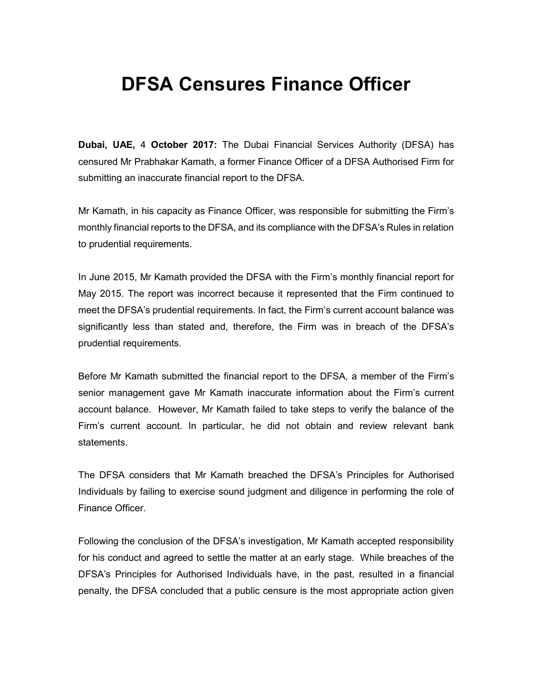## DFSA Censures Finance Officer

Dubai, UAE, 4 October 2017: The Dubai Financial Services Authority (DFSA) has censured Mr Prabhakar Kamath, a former Finance Officer of a DFSA Authorised Firm for submitting an inaccurate financial report to the DFSA.

Mr Kamath, in his capacity as Finance Officer, was responsible for submitting the Firm's monthly financial reports to the DFSA, and its compliance with the DFSA's Rules in relation to prudential requirements.

In June 2015, Mr Kamath provided the DFSA with the Firm's monthly financial report for May 2015. The report was incorrect because it represented that the Firm continued to meet the DFSA's prudential requirements. In fact, the Firm's current account balance was significantly less than stated and, therefore, the Firm was in breach of the DFSA's prudential requirements.

Before Mr Kamath submitted the financial report to the DFSA, a member of the Firm's senior management gave Mr Kamath inaccurate information about the Firm's current account balance. However, Mr Kamath failed to take steps to verify the balance of the Firm's current account. In particular, he did not obtain and review relevant bank statements.

The DFSA considers that Mr Kamath breached the DFSA's Principles for Authorised Individuals by failing to exercise sound judgment and diligence in performing the role of Finance Officer.

Following the conclusion of the DFSA's investigation, Mr Kamath accepted responsibility for his conduct and agreed to settle the matter at an early stage. While breaches of the DFSA's Principles for Authorised Individuals have, in the past, resulted in a financial penalty, the DFSA concluded that a public censure is the most appropriate action given